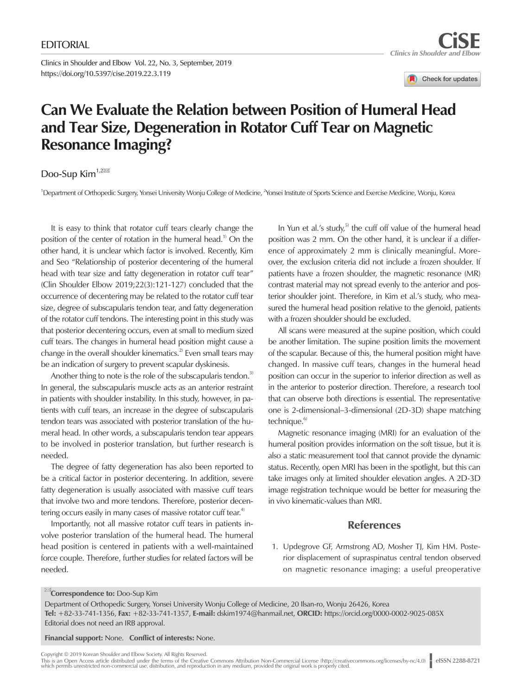Clinics in Shoulder and Elbow Vol. 22, No. 3, September, 2019 https://doi.org/10.5397/cise.2019.22.3.119

Check for updates

## **Can We Evaluate the Relation between Position of Humeral Head and Tear Size, Degeneration in Rotator Cuff Tear on Magnetic Resonance Imaging?**

## Doo-Sup Kim<sup>1,2 $\overline{ }$ </sup>

<sup>1</sup>Department of Orthopedic Surgery, Yonsei University Wonju College of Medicine, <sup>2</sup>Yonsei Institute of Sports Science and Exercise Medicine, Wonju, Korea

It is easy to think that rotator cuff tears clearly change the position of the center of rotation in the humeral head.<sup>1)</sup> On the other hand, it is unclear which factor is involved. Recently, Kim and Seo "Relationship of posterior decentering of the humeral head with tear size and fatty degeneration in rotator cuff tear" (Clin Shoulder Elbow 2019;22(3):121-127) concluded that the occurrence of decentering may be related to the rotator cuff tear size, degree of subscapularis tendon tear, and fatty degeneration of the rotator cuff tendons. The interesting point in this study was that posterior decentering occurs, even at small to medium sized cuff tears. The changes in humeral head position might cause a change in the overall shoulder kinematics.<sup>2)</sup> Even small tears may be an indication of surgery to prevent scapular dyskinesis.

Another thing to note is the role of the subscapularis tendon.<sup>3)</sup> In general, the subscapularis muscle acts as an anterior restraint in patients with shoulder instability. In this study, however, in patients with cuff tears, an increase in the degree of subscapularis tendon tears was associated with posterior translation of the humeral head. In other words, a subscapularis tendon tear appears to be involved in posterior translation, but further research is needed.

The degree of fatty degeneration has also been reported to be a critical factor in posterior decentering. In addition, severe fatty degeneration is usually associated with massive cuff tears that involve two and more tendons. Therefore, posterior decentering occurs easily in many cases of massive rotator cuff tear.<sup>4)</sup>

Importantly, not all massive rotator cuff tears in patients involve posterior translation of the humeral head. The humeral head position is centered in patients with a well-maintained force couple. Therefore, further studies for related factors will be needed.

In Yun et al.'s study,<sup>5)</sup> the cuff off value of the humeral head position was 2 mm. On the other hand, it is unclear if a difference of approximately 2 mm is clinically meaningful. Moreover, the exclusion criteria did not include a frozen shoulder. If patients have a frozen shoulder, the magnetic resonance (MR) contrast material may not spread evenly to the anterior and posterior shoulder joint. Therefore, in Kim et al.'s study, who measured the humeral head position relative to the glenoid, patients with a frozen shoulder should be excluded.

All scans were measured at the supine position, which could be another limitation. The supine position limits the movement of the scapular. Because of this, the humeral position might have changed. In massive cuff tears, changes in the humeral head position can occur in the superior to inferior direction as well as in the anterior to posterior direction. Therefore, a research tool that can observe both directions is essential. The representative one is 2-dimensional–3-dimensional (2D-3D) shape matching technique.<sup>6)</sup>

Magnetic resonance imaging (MRI) for an evaluation of the humeral position provides information on the soft tissue, but it is also a static measurement tool that cannot provide the dynamic status. Recently, open MRI has been in the spotlight, but this can take images only at limited shoulder elevation angles. A 2D-3D image registration technique would be better for measuring the in vivo kinematic-values than MRI.

## References

1. Updegrove GF, Armstrong AD, Mosher TJ, Kim HM. Posterior displacement of supraspinatus central tendon observed on magnetic resonance imaging: a useful preoperative

## **Examplemento:** Doo-Sup Kim

Department of Orthopedic Surgery, Yonsei University Wonju College of Medicine, 20 Ilsan-ro, Wonju 26426, Korea Tel: +82-33-741-1356, Fax: +82-33-741-1357, E-mail: [dskim1974@hanmail.net,](mailto:dskim1974@hanmail.net) ORCID: https://orcid.org/0000-0002-9025-085X Editorial does not need an IRB approval.

Financial support: None. Conflict of interests: None.

Copyright © 2019 Korean Shoulder and Elbow Society. All Rights Reserved.

This is an Open Access article distributed under the terms of the Creative Commons Attribution Non-Commercial License (http://creativecommons.org/licenses/by-nc/4.0) | eISSN 2288-8721<br>which permits unrestricted non-commerc